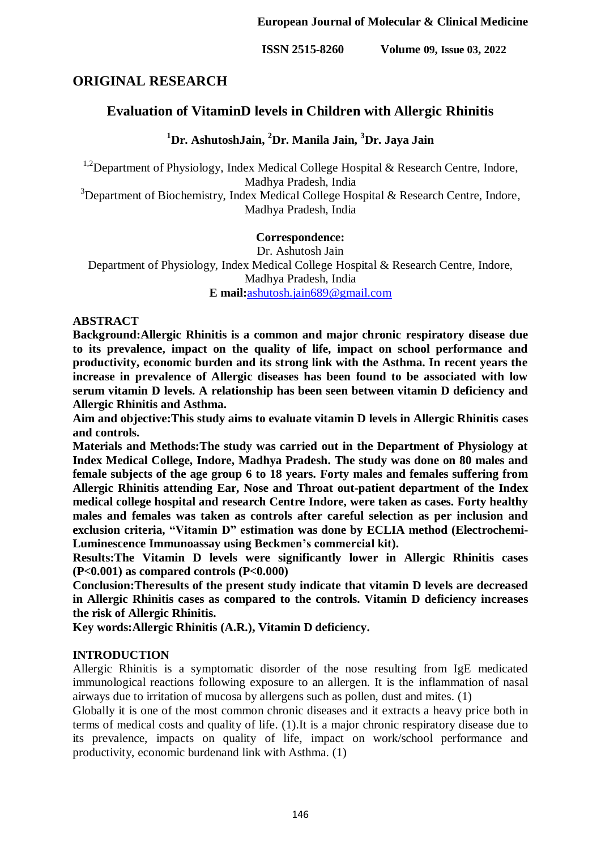**ISSN 2515-8260 Volume 09, Issue 03, 2022**

# **ORIGINAL RESEARCH**

# **Evaluation of VitaminD levels in Children with Allergic Rhinitis**

**<sup>1</sup>Dr. AshutoshJain, <sup>2</sup>Dr. Manila Jain, <sup>3</sup>Dr. Jaya Jain**

<sup>1,2</sup>Department of Physiology, Index Medical College Hospital & Research Centre, Indore, Madhya Pradesh, India

 $3$ Department of Biochemistry, Index Medical College Hospital & Research Centre, Indore, Madhya Pradesh, India

### **Correspondence:**

Dr. Ashutosh Jain Department of Physiology, Index Medical College Hospital & Research Centre, Indore, Madhya Pradesh, India **E mail:**[ashutosh.jain689@gmail.com](mailto:ashutosh.jain689@gmail.com)

### **ABSTRACT**

**Background:Allergic Rhinitis is a common and major chronic respiratory disease due to its prevalence, impact on the quality of life, impact on school performance and productivity, economic burden and its strong link with the Asthma. In recent years the increase in prevalence of Allergic diseases has been found to be associated with low serum vitamin D levels. A relationship has been seen between vitamin D deficiency and Allergic Rhinitis and Asthma.** 

**Aim and objective:This study aims to evaluate vitamin D levels in Allergic Rhinitis cases and controls.**

**Materials and Methods:The study was carried out in the Department of Physiology at Index Medical College, Indore, Madhya Pradesh. The study was done on 80 males and female subjects of the age group 6 to 18 years. Forty males and females suffering from Allergic Rhinitis attending Ear, Nose and Throat out-patient department of the Index medical college hospital and research Centre Indore, were taken as cases. Forty healthy males and females was taken as controls after careful selection as per inclusion and exclusion criteria, "Vitamin D" estimation was done by ECLIA method (Electrochemi-Luminescence Immunoassay using Beckmen's commercial kit).** 

**Results:The Vitamin D levels were significantly lower in Allergic Rhinitis cases (P<0.001) as compared controls (P<0.000)**

**Conclusion:Theresults of the present study indicate that vitamin D levels are decreased in Allergic Rhinitis cases as compared to the controls. Vitamin D deficiency increases the risk of Allergic Rhinitis.**

**Key words:Allergic Rhinitis (A.R.), Vitamin D deficiency.**

### **INTRODUCTION**

Allergic Rhinitis is a symptomatic disorder of the nose resulting from IgE medicated immunological reactions following exposure to an allergen. It is the inflammation of nasal airways due to irritation of mucosa by allergens such as pollen, dust and mites. (1)

Globally it is one of the most common chronic diseases and it extracts a heavy price both in terms of medical costs and quality of life. (1).It is a major chronic respiratory disease due to its prevalence, impacts on quality of life, impact on work/school performance and productivity, economic burdenand link with Asthma. (1)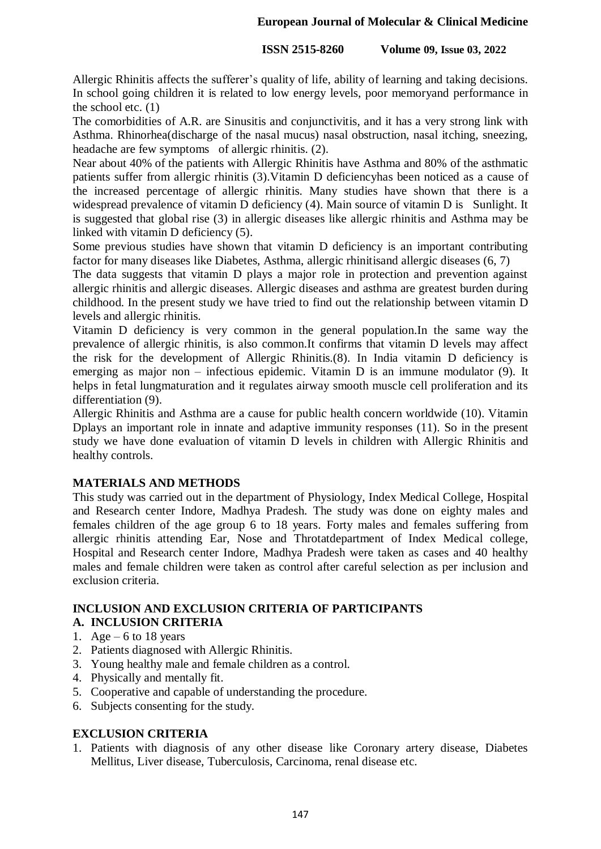### **European Journal of Molecular & Clinical Medicine**

### **ISSN 2515-8260 Volume 09, Issue 03, 2022**

Allergic Rhinitis affects the sufferer's quality of life, ability of learning and taking decisions. In school going children it is related to low energy levels, poor memoryand performance in the school etc. (1)

The comorbidities of A.R. are Sinusitis and conjunctivitis, and it has a very strong link with Asthma. Rhinorhea(discharge of the nasal mucus) nasal obstruction, nasal itching, sneezing, headache are few symptoms of allergic rhinitis. (2).

Near about 40% of the patients with Allergic Rhinitis have Asthma and 80% of the asthmatic patients suffer from allergic rhinitis (3).Vitamin D deficiencyhas been noticed as a cause of the increased percentage of allergic rhinitis. Many studies have shown that there is a widespread prevalence of vitamin D deficiency (4). Main source of vitamin D is Sunlight. It is suggested that global rise (3) in allergic diseases like allergic rhinitis and Asthma may be linked with vitamin D deficiency (5).

Some previous studies have shown that vitamin D deficiency is an important contributing factor for many diseases like Diabetes, Asthma, allergic rhinitisand allergic diseases (6, 7)

The data suggests that vitamin D plays a major role in protection and prevention against allergic rhinitis and allergic diseases. Allergic diseases and asthma are greatest burden during childhood. In the present study we have tried to find out the relationship between vitamin D levels and allergic rhinitis.

Vitamin D deficiency is very common in the general population.In the same way the prevalence of allergic rhinitis, is also common.It confirms that vitamin D levels may affect the risk for the development of Allergic Rhinitis.(8). In India vitamin D deficiency is emerging as major non – infectious epidemic. Vitamin D is an immune modulator (9). It helps in fetal lungmaturation and it regulates airway smooth muscle cell proliferation and its differentiation (9).

Allergic Rhinitis and Asthma are a cause for public health concern worldwide (10). Vitamin Dplays an important role in innate and adaptive immunity responses (11). So in the present study we have done evaluation of vitamin D levels in children with Allergic Rhinitis and healthy controls.

## **MATERIALS AND METHODS**

This study was carried out in the department of Physiology, Index Medical College, Hospital and Research center Indore, Madhya Pradesh. The study was done on eighty males and females children of the age group 6 to 18 years. Forty males and females suffering from allergic rhinitis attending Ear, Nose and Throtatdepartment of Index Medical college, Hospital and Research center Indore, Madhya Pradesh were taken as cases and 40 healthy males and female children were taken as control after careful selection as per inclusion and exclusion criteria.

## **INCLUSION AND EXCLUSION CRITERIA OF PARTICIPANTS**

### **A. INCLUSION CRITERIA**

- 1. Age 6 to 18 years
- 2. Patients diagnosed with Allergic Rhinitis.
- 3. Young healthy male and female children as a control.
- 4. Physically and mentally fit.
- 5. Cooperative and capable of understanding the procedure.
- 6. Subjects consenting for the study.

## **EXCLUSION CRITERIA**

1. Patients with diagnosis of any other disease like Coronary artery disease, Diabetes Mellitus, Liver disease, Tuberculosis, Carcinoma, renal disease etc.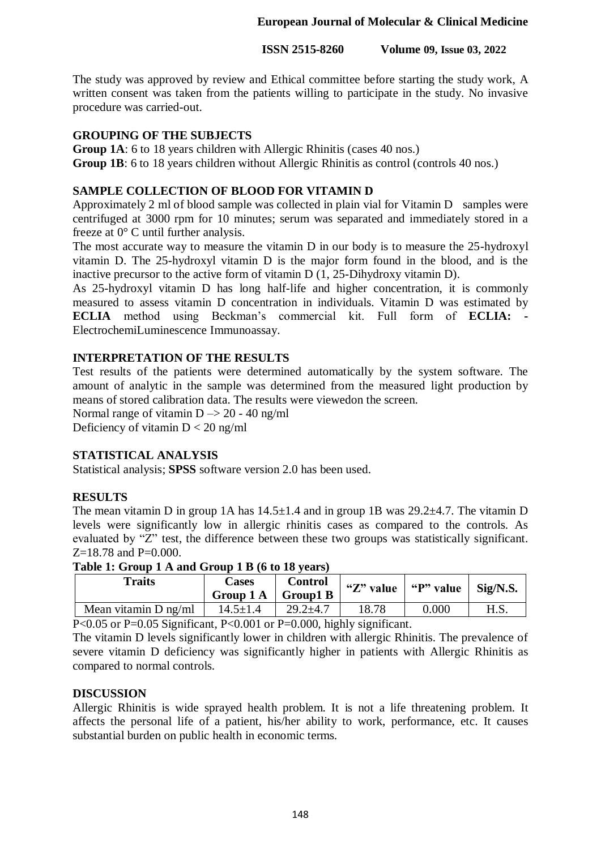**ISSN 2515-8260 Volume 09, Issue 03, 2022**

The study was approved by review and Ethical committee before starting the study work, A written consent was taken from the patients willing to participate in the study. No invasive procedure was carried-out.

## **GROUPING OF THE SUBJECTS**

**Group 1A**: 6 to 18 years children with Allergic Rhinitis (cases 40 nos.) **Group 1B**: 6 to 18 years children without Allergic Rhinitis as control (controls 40 nos.)

## **SAMPLE COLLECTION OF BLOOD FOR VITAMIN D**

Approximately 2 ml of blood sample was collected in plain vial for Vitamin D samples were centrifuged at 3000 rpm for 10 minutes; serum was separated and immediately stored in a freeze at 0° C until further analysis.

The most accurate way to measure the vitamin D in our body is to measure the 25-hydroxyl vitamin D. The 25-hydroxyl vitamin D is the major form found in the blood, and is the inactive precursor to the active form of vitamin  $D(1, 25)$ -Dihydroxy vitamin D).

As 25-hydroxyl vitamin D has long half-life and higher concentration, it is commonly measured to assess vitamin D concentration in individuals. Vitamin D was estimated by **ECLIA** method using Beckman's commercial kit. Full form of **ECLIA: -** ElectrochemiLuminescence Immunoassay.

## **INTERPRETATION OF THE RESULTS**

Test results of the patients were determined automatically by the system software. The amount of analytic in the sample was determined from the measured light production by means of stored calibration data. The results were viewedon the screen.

Normal range of vitamin  $D \rightarrow 20 - 40$  ng/ml

Deficiency of vitamin  $D < 20$  ng/ml

## **STATISTICAL ANALYSIS**

Statistical analysis; **SPSS** software version 2.0 has been used.

## **RESULTS**

The mean vitamin D in group 1A has  $14.5 \pm 1.4$  and in group 1B was  $29.2 \pm 4.7$ . The vitamin D levels were significantly low in allergic rhinitis cases as compared to the controls. As evaluated by "Z" test, the difference between these two groups was statistically significant. Z=18.78 and P=0.000.

| <b>Traits</b>          | Cases<br>Group $1 \text{ A}$   Group $1 \text{ B}$ | <b>Control</b> | "Z" value | " $P$ " value   Sig/N.S. |      |
|------------------------|----------------------------------------------------|----------------|-----------|--------------------------|------|
| Mean vitamin $D$ ng/ml | $14.5 \pm 1.4$                                     | $29.2 \pm 4.7$ | 18.78     | 0.000                    | H.S. |

**Table 1: Group 1 A and Group 1 B (6 to 18 years)**

P<0.05 or P=0.05 Significant, P<0.001 or P=0.000, highly significant.

The vitamin D levels significantly lower in children with allergic Rhinitis. The prevalence of severe vitamin D deficiency was significantly higher in patients with Allergic Rhinitis as compared to normal controls.

## **DISCUSSION**

Allergic Rhinitis is wide sprayed health problem. It is not a life threatening problem. It affects the personal life of a patient, his/her ability to work, performance, etc. It causes substantial burden on public health in economic terms.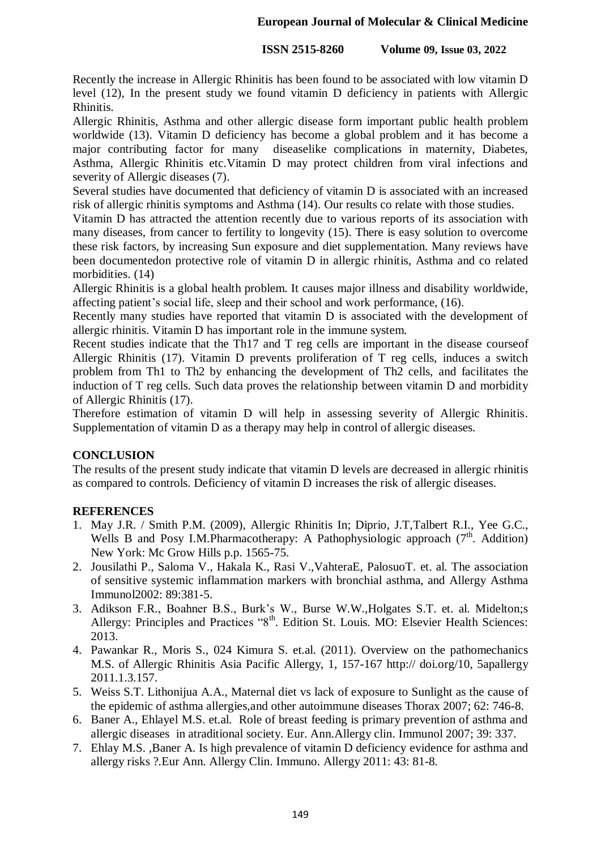## **ISSN 2515-8260 Volume 09, Issue 03, 2022**

Recently the increase in Allergic Rhinitis has been found to be associated with low vitamin D level (12), In the present study we found vitamin D deficiency in patients with Allergic Rhinitis.

Allergic Rhinitis, Asthma and other allergic disease form important public health problem worldwide (13). Vitamin D deficiency has become a global problem and it has become a major contributing factor for many diseaselike complications in maternity, Diabetes, Asthma, Allergic Rhinitis etc.Vitamin D may protect children from viral infections and severity of Allergic diseases (7).

Several studies have documented that deficiency of vitamin D is associated with an increased risk of allergic rhinitis symptoms and Asthma (14). Our results co relate with those studies.

Vitamin D has attracted the attention recently due to various reports of its association with many diseases, from cancer to fertility to longevity (15). There is easy solution to overcome these risk factors, by increasing Sun exposure and diet supplementation. Many reviews have been documentedon protective role of vitamin D in allergic rhinitis, Asthma and co related morbidities.  $(14)$ 

Allergic Rhinitis is a global health problem. It causes major illness and disability worldwide, affecting patient's social life, sleep and their school and work performance, (16).

Recently many studies have reported that vitamin D is associated with the development of allergic rhinitis. Vitamin D has important role in the immune system.

Recent studies indicate that the Th17 and T reg cells are important in the disease courseof Allergic Rhinitis (17). Vitamin D prevents proliferation of T reg cells, induces a switch problem from Th1 to Th2 by enhancing the development of Th2 cells, and facilitates the induction of T reg cells. Such data proves the relationship between vitamin D and morbidity of Allergic Rhinitis (17).

Therefore estimation of vitamin D will help in assessing severity of Allergic Rhinitis. Supplementation of vitamin D as a therapy may help in control of allergic diseases.

## **CONCLUSION**

The results of the present study indicate that vitamin D levels are decreased in allergic rhinitis as compared to controls. Deficiency of vitamin D increases the risk of allergic diseases.

## **REFERENCES**

- 1. May J.R. / Smith P.M. (2009), Allergic Rhinitis In; Diprio, J.T,Talbert R.I., Yee G.C., Wells B and Posy I.M.Pharmacotherapy: A Pathophysiologic approach  $(7<sup>th</sup>$ . Addition) New York: Mc Grow Hills p.p. 1565-75.
- 2. Jousilathi P., Saloma V., Hakala K., Rasi V.,VahteraE, PalosuoT. et. al. The association of sensitive systemic inflammation markers with bronchial asthma, and Allergy Asthma Immunol2002: 89:381-5.
- 3. Adikson F.R., Boahner B.S., Burk's W., Burse W.W.,Holgates S.T. et. al. Midelton;s Allergy: Principles and Practices "8<sup>th</sup>. Edition St. Louis. MO: Elsevier Health Sciences: 2013.
- 4. Pawankar R., Moris S., 024 Kimura S. et.al. (2011). Overview on the pathomechanics M.S. of Allergic Rhinitis Asia Pacific Allergy, 1, 157-167 http:// doi.org/10, 5apallergy 2011.1.3.157.
- 5. Weiss S.T. Lithonijua A.A., Maternal diet vs lack of exposure to Sunlight as the cause of the epidemic of asthma allergies,and other autoimmune diseases Thorax 2007; 62: 746-8.
- 6. Baner A., Ehlayel M.S. et.al. Role of breast feeding is primary prevention of asthma and allergic diseases in atraditional society. Eur. Ann.Allergy clin. Immunol 2007; 39: 337.
- 7. Ehlay M.S. ,Baner A. Is high prevalence of vitamin D deficiency evidence for asthma and allergy risks ?.Eur Ann. Allergy Clin. Immuno. Allergy 2011: 43: 81-8.